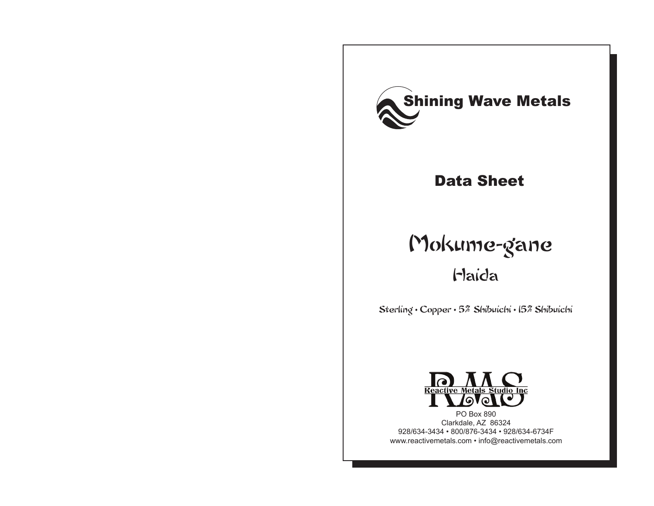

### Data Sheet

# Mokume-gane Haida

Sterling • Copper • 5% Shibuichi • 15% Shibuichi



PO Box 890 Clarkdale, AZ 86324 928/634-3434 • 800/876-3434 • 928/634-6734F www.reactivemetals.com • info@reactivemetals.com